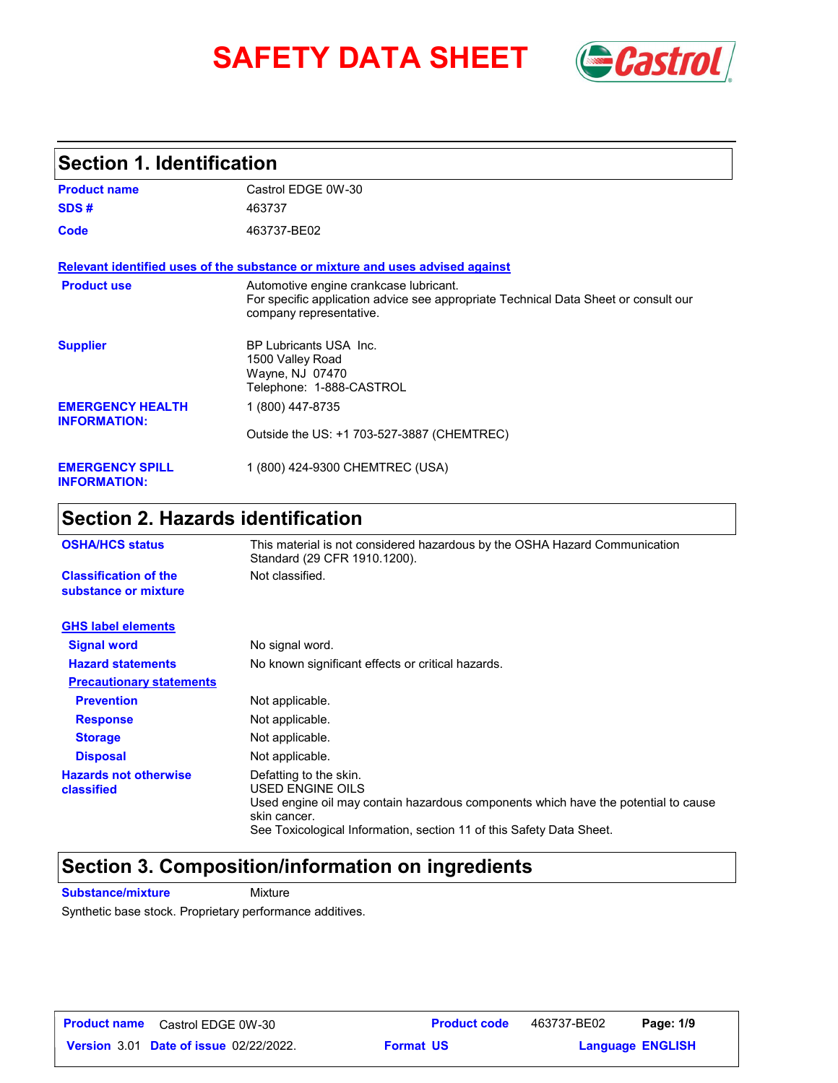# **SAFETY DATA SHEET** *Castrol*



### **Section 1. Identification**

| <b>Product name</b>                            | Castrol EDGE 0W-30                                                                                                                                       |  |  |
|------------------------------------------------|----------------------------------------------------------------------------------------------------------------------------------------------------------|--|--|
| SDS#                                           | 463737                                                                                                                                                   |  |  |
| Code                                           | 463737-BE02                                                                                                                                              |  |  |
|                                                | Relevant identified uses of the substance or mixture and uses advised against                                                                            |  |  |
| <b>Product use</b>                             | Automotive engine crankcase lubricant.<br>For specific application advice see appropriate Technical Data Sheet or consult our<br>company representative. |  |  |
| <b>Supplier</b>                                | BP Lubricants USA Inc.<br>1500 Valley Road<br>Wayne, NJ 07470<br>Telephone: 1-888-CASTROL                                                                |  |  |
| <b>EMERGENCY HEALTH</b><br><b>INFORMATION:</b> | 1 (800) 447-8735                                                                                                                                         |  |  |
|                                                | Outside the US: +1 703-527-3887 (CHEMTREC)                                                                                                               |  |  |
| <b>EMERGENCY SPILL</b><br><b>INFORMATION:</b>  | 1 (800) 424-9300 CHEMTREC (USA)                                                                                                                          |  |  |

### **Section 2. Hazards identification**

| <b>OSHA/HCS status</b>                               | This material is not considered hazardous by the OSHA Hazard Communication<br>Standard (29 CFR 1910.1200).                                                                                                               |  |
|------------------------------------------------------|--------------------------------------------------------------------------------------------------------------------------------------------------------------------------------------------------------------------------|--|
| <b>Classification of the</b><br>substance or mixture | Not classified.                                                                                                                                                                                                          |  |
| <b>GHS label elements</b>                            |                                                                                                                                                                                                                          |  |
| <b>Signal word</b>                                   | No signal word.                                                                                                                                                                                                          |  |
| <b>Hazard statements</b>                             | No known significant effects or critical hazards.                                                                                                                                                                        |  |
| <b>Precautionary statements</b>                      |                                                                                                                                                                                                                          |  |
| <b>Prevention</b>                                    | Not applicable.                                                                                                                                                                                                          |  |
| <b>Response</b>                                      | Not applicable.                                                                                                                                                                                                          |  |
| <b>Storage</b>                                       | Not applicable.                                                                                                                                                                                                          |  |
| <b>Disposal</b>                                      | Not applicable.                                                                                                                                                                                                          |  |
| <b>Hazards not otherwise</b><br>classified           | Defatting to the skin.<br>USED ENGINE OILS<br>Used engine oil may contain hazardous components which have the potential to cause<br>skin cancer.<br>See Toxicological Information, section 11 of this Safety Data Sheet. |  |

### **Section 3. Composition/information on ingredients**

**Substance/mixture Mixture** 

Synthetic base stock. Proprietary performance additives.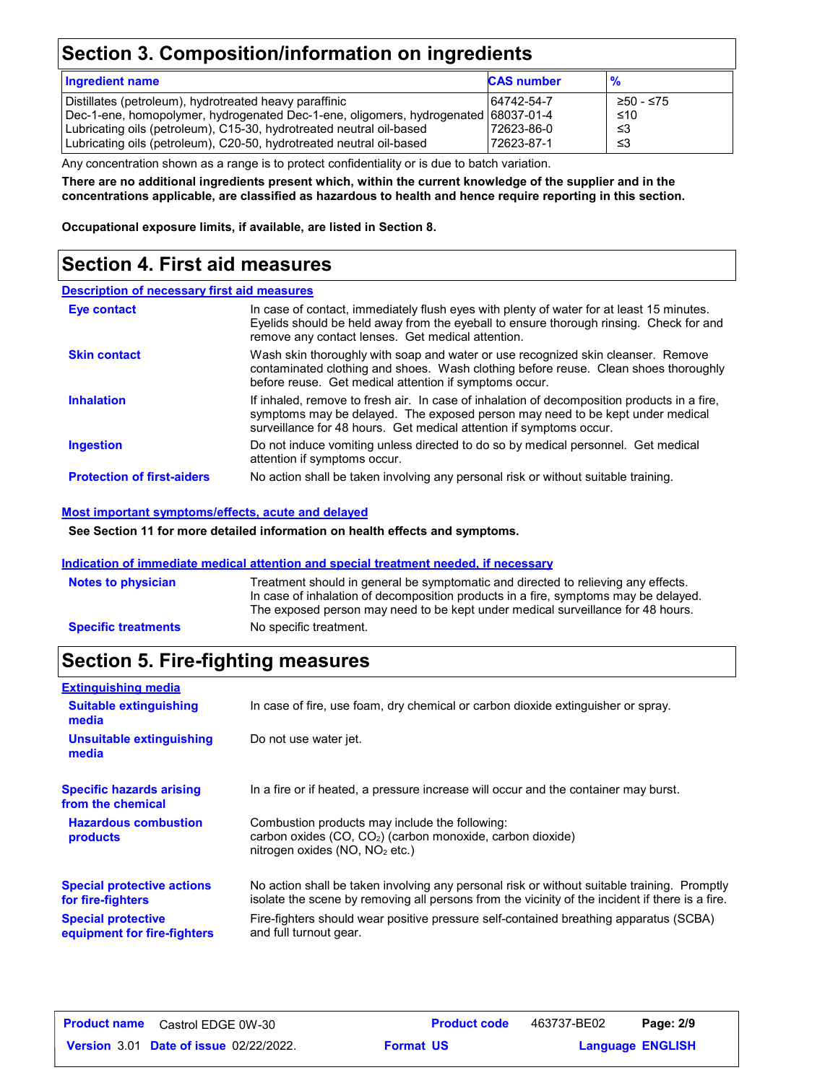### **Section 3. Composition/information on ingredients**

| <b>Ingredient name</b>                                                                                                                                                                                                                                                                       | <b>CAS number</b>                      | $\frac{9}{6}$                 |
|----------------------------------------------------------------------------------------------------------------------------------------------------------------------------------------------------------------------------------------------------------------------------------------------|----------------------------------------|-------------------------------|
| Distillates (petroleum), hydrotreated heavy paraffinic<br>Dec-1-ene, homopolymer, hydrogenated Dec-1-ene, oligomers, hydrogenated 68037-01-4<br>Lubricating oils (petroleum), C15-30, hydrotreated neutral oil-based<br>Lubricating oils (petroleum), C20-50, hydrotreated neutral oil-based | 64742-54-7<br>72623-86-0<br>72623-87-1 | ≥50 - ≤75<br>≤10<br>-≤3<br>≤3 |

Any concentration shown as a range is to protect confidentiality or is due to batch variation.

**There are no additional ingredients present which, within the current knowledge of the supplier and in the concentrations applicable, are classified as hazardous to health and hence require reporting in this section.**

**Occupational exposure limits, if available, are listed in Section 8.**

### **Section 4. First aid measures**

#### **Description of necessary first aid measures**

| <b>Eye contact</b>                | In case of contact, immediately flush eyes with plenty of water for at least 15 minutes.<br>Eyelids should be held away from the eyeball to ensure thorough rinsing. Check for and<br>remove any contact lenses. Get medical attention.             |
|-----------------------------------|-----------------------------------------------------------------------------------------------------------------------------------------------------------------------------------------------------------------------------------------------------|
| <b>Skin contact</b>               | Wash skin thoroughly with soap and water or use recognized skin cleanser. Remove<br>contaminated clothing and shoes. Wash clothing before reuse. Clean shoes thoroughly<br>before reuse. Get medical attention if symptoms occur.                   |
| <b>Inhalation</b>                 | If inhaled, remove to fresh air. In case of inhalation of decomposition products in a fire,<br>symptoms may be delayed. The exposed person may need to be kept under medical<br>surveillance for 48 hours. Get medical attention if symptoms occur. |
| <b>Ingestion</b>                  | Do not induce vomiting unless directed to do so by medical personnel. Get medical<br>attention if symptoms occur.                                                                                                                                   |
| <b>Protection of first-aiders</b> | No action shall be taken involving any personal risk or without suitable training.                                                                                                                                                                  |

#### **Most important symptoms/effects, acute and delayed**

**See Section 11 for more detailed information on health effects and symptoms.**

#### **Indication of immediate medical attention and special treatment needed, if necessary**

| <b>Notes to physician</b>  | Treatment should in general be symptomatic and directed to relieving any effects.<br>In case of inhalation of decomposition products in a fire, symptoms may be delayed.<br>The exposed person may need to be kept under medical surveillance for 48 hours. |
|----------------------------|-------------------------------------------------------------------------------------------------------------------------------------------------------------------------------------------------------------------------------------------------------------|
| <b>Specific treatments</b> | No specific treatment.                                                                                                                                                                                                                                      |

### **Section 5. Fire-fighting measures**

| <b>Extinguishing media</b>                               |                                                                                                                                                                                                |
|----------------------------------------------------------|------------------------------------------------------------------------------------------------------------------------------------------------------------------------------------------------|
| <b>Suitable extinguishing</b><br>media                   | In case of fire, use foam, dry chemical or carbon dioxide extinguisher or spray.                                                                                                               |
| Unsuitable extinguishing<br>media                        | Do not use water jet.                                                                                                                                                                          |
| <b>Specific hazards arising</b><br>from the chemical     | In a fire or if heated, a pressure increase will occur and the container may burst.                                                                                                            |
| <b>Hazardous combustion</b><br>products                  | Combustion products may include the following:<br>carbon oxides (CO, CO <sub>2</sub> ) (carbon monoxide, carbon dioxide)<br>nitrogen oxides (NO, NO <sub>2</sub> etc.)                         |
| <b>Special protective actions</b><br>for fire-fighters   | No action shall be taken involving any personal risk or without suitable training. Promptly<br>isolate the scene by removing all persons from the vicinity of the incident if there is a fire. |
| <b>Special protective</b><br>equipment for fire-fighters | Fire-fighters should wear positive pressure self-contained breathing apparatus (SCBA)<br>and full turnout gear.                                                                                |

| <b>Product name</b> Castrol EDGE 0W-30        |                  | <b>Product code</b> | 463737-BE02             | Page: 2/9 |  |
|-----------------------------------------------|------------------|---------------------|-------------------------|-----------|--|
| <b>Version 3.01 Date of issue 02/22/2022.</b> | <b>Format US</b> |                     | <b>Language ENGLISH</b> |           |  |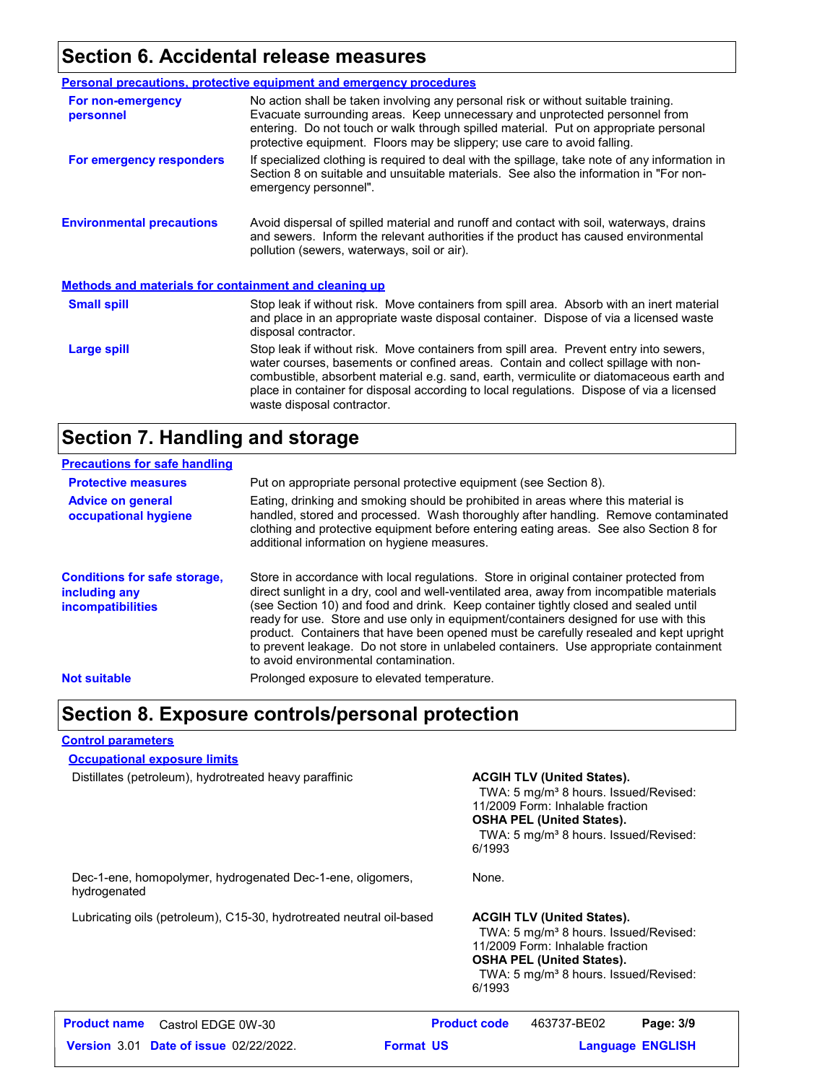### **Section 6. Accidental release measures**

|                                                              | <b>Personal precautions, protective equipment and emergency procedures</b>                                                                                                                                                                                                                                                                                                                         |  |  |
|--------------------------------------------------------------|----------------------------------------------------------------------------------------------------------------------------------------------------------------------------------------------------------------------------------------------------------------------------------------------------------------------------------------------------------------------------------------------------|--|--|
| For non-emergency<br>personnel                               | No action shall be taken involving any personal risk or without suitable training.<br>Evacuate surrounding areas. Keep unnecessary and unprotected personnel from<br>entering. Do not touch or walk through spilled material. Put on appropriate personal<br>protective equipment. Floors may be slippery; use care to avoid falling.                                                              |  |  |
| For emergency responders                                     | If specialized clothing is required to deal with the spillage, take note of any information in<br>Section 8 on suitable and unsuitable materials. See also the information in "For non-<br>emergency personnel".                                                                                                                                                                                   |  |  |
| <b>Environmental precautions</b>                             | Avoid dispersal of spilled material and runoff and contact with soil, waterways, drains<br>and sewers. Inform the relevant authorities if the product has caused environmental<br>pollution (sewers, waterways, soil or air).                                                                                                                                                                      |  |  |
| <b>Methods and materials for containment and cleaning up</b> |                                                                                                                                                                                                                                                                                                                                                                                                    |  |  |
| <b>Small spill</b>                                           | Stop leak if without risk. Move containers from spill area. Absorb with an inert material<br>and place in an appropriate waste disposal container. Dispose of via a licensed waste<br>disposal contractor.                                                                                                                                                                                         |  |  |
| Large spill                                                  | Stop leak if without risk. Move containers from spill area. Prevent entry into sewers,<br>water courses, basements or confined areas. Contain and collect spillage with non-<br>combustible, absorbent material e.g. sand, earth, vermiculite or diatomaceous earth and<br>place in container for disposal according to local regulations. Dispose of via a licensed<br>waste disposal contractor. |  |  |

### **Section 7. Handling and storage**

| <b>Precautions for safe handling</b>                                             |                                                                                                                                                                                                                                                                                                                                                                                                                                                                                                                                                                                               |
|----------------------------------------------------------------------------------|-----------------------------------------------------------------------------------------------------------------------------------------------------------------------------------------------------------------------------------------------------------------------------------------------------------------------------------------------------------------------------------------------------------------------------------------------------------------------------------------------------------------------------------------------------------------------------------------------|
| <b>Protective measures</b>                                                       | Put on appropriate personal protective equipment (see Section 8).                                                                                                                                                                                                                                                                                                                                                                                                                                                                                                                             |
| <b>Advice on general</b><br>occupational hygiene                                 | Eating, drinking and smoking should be prohibited in areas where this material is<br>handled, stored and processed. Wash thoroughly after handling. Remove contaminated<br>clothing and protective equipment before entering eating areas. See also Section 8 for<br>additional information on hygiene measures.                                                                                                                                                                                                                                                                              |
| <b>Conditions for safe storage,</b><br>including any<br><i>incompatibilities</i> | Store in accordance with local regulations. Store in original container protected from<br>direct sunlight in a dry, cool and well-ventilated area, away from incompatible materials<br>(see Section 10) and food and drink. Keep container tightly closed and sealed until<br>ready for use. Store and use only in equipment/containers designed for use with this<br>product. Containers that have been opened must be carefully resealed and kept upright<br>to prevent leakage. Do not store in unlabeled containers. Use appropriate containment<br>to avoid environmental contamination. |
| <b>Not suitable</b>                                                              | Prolonged exposure to elevated temperature.                                                                                                                                                                                                                                                                                                                                                                                                                                                                                                                                                   |

### **Section 8. Exposure controls/personal protection**

#### **Control parameters**

**Occupational exposure limits**

Distillates (petroleum), hydrotreated heavy paraffinic **ACGIH TLV (United States).**

TWA: 5 mg/m<sup>3</sup> 8 hours. Issued/Revised: 11/2009 Form: Inhalable fraction **OSHA PEL (United States).** TWA: 5 mg/m<sup>3</sup> 8 hours. Issued/Revised: 6/1993

Dec-1-ene, homopolymer, hydrogenated Dec-1-ene, oligomers, hydrogenated

Lubricating oils (petroleum), C15-30, hydrotreated neutral oil-based **ACGIH TLV (United States).** 

None.

TWA: 5 mg/m<sup>3</sup> 8 hours. Issued/Revised: 11/2009 Form: Inhalable fraction **OSHA PEL (United States).** TWA: 5 mg/m<sup>3</sup> 8 hours. Issued/Revised: 6/1993

| <b>Product name</b> Castrol EDGE 0W-30        | <b>Product code</b> | 463737-BE02 | Page: 3/9               |
|-----------------------------------------------|---------------------|-------------|-------------------------|
| <b>Version 3.01 Date of issue 02/22/2022.</b> | <b>Format US</b>    |             | <b>Language ENGLISH</b> |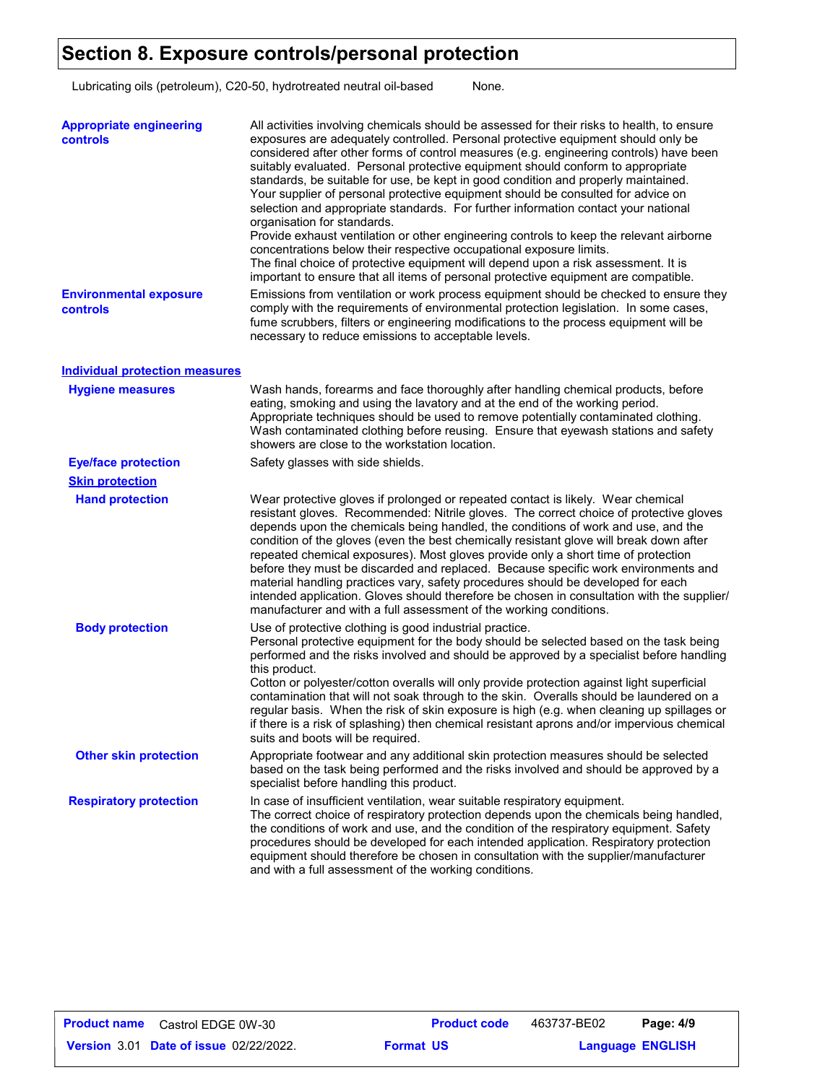### **Section 8. Exposure controls/personal protection**

Lubricating oils (petroleum), C20-50, hydrotreated neutral oil-based None.

| <b>Appropriate engineering</b><br>controls | All activities involving chemicals should be assessed for their risks to health, to ensure<br>exposures are adequately controlled. Personal protective equipment should only be<br>considered after other forms of control measures (e.g. engineering controls) have been<br>suitably evaluated. Personal protective equipment should conform to appropriate<br>standards, be suitable for use, be kept in good condition and properly maintained.<br>Your supplier of personal protective equipment should be consulted for advice on<br>selection and appropriate standards. For further information contact your national<br>organisation for standards.<br>Provide exhaust ventilation or other engineering controls to keep the relevant airborne<br>concentrations below their respective occupational exposure limits.<br>The final choice of protective equipment will depend upon a risk assessment. It is<br>important to ensure that all items of personal protective equipment are compatible. |
|--------------------------------------------|------------------------------------------------------------------------------------------------------------------------------------------------------------------------------------------------------------------------------------------------------------------------------------------------------------------------------------------------------------------------------------------------------------------------------------------------------------------------------------------------------------------------------------------------------------------------------------------------------------------------------------------------------------------------------------------------------------------------------------------------------------------------------------------------------------------------------------------------------------------------------------------------------------------------------------------------------------------------------------------------------------|
| <b>Environmental exposure</b><br>controls  | Emissions from ventilation or work process equipment should be checked to ensure they<br>comply with the requirements of environmental protection legislation. In some cases,<br>fume scrubbers, filters or engineering modifications to the process equipment will be<br>necessary to reduce emissions to acceptable levels.                                                                                                                                                                                                                                                                                                                                                                                                                                                                                                                                                                                                                                                                              |
| <b>Individual protection measures</b>      |                                                                                                                                                                                                                                                                                                                                                                                                                                                                                                                                                                                                                                                                                                                                                                                                                                                                                                                                                                                                            |
| <b>Hygiene measures</b>                    | Wash hands, forearms and face thoroughly after handling chemical products, before<br>eating, smoking and using the lavatory and at the end of the working period.<br>Appropriate techniques should be used to remove potentially contaminated clothing.<br>Wash contaminated clothing before reusing. Ensure that eyewash stations and safety<br>showers are close to the workstation location.                                                                                                                                                                                                                                                                                                                                                                                                                                                                                                                                                                                                            |
| <b>Eye/face protection</b>                 | Safety glasses with side shields.                                                                                                                                                                                                                                                                                                                                                                                                                                                                                                                                                                                                                                                                                                                                                                                                                                                                                                                                                                          |
| <b>Skin protection</b>                     |                                                                                                                                                                                                                                                                                                                                                                                                                                                                                                                                                                                                                                                                                                                                                                                                                                                                                                                                                                                                            |
| <b>Hand protection</b>                     | Wear protective gloves if prolonged or repeated contact is likely. Wear chemical<br>resistant gloves. Recommended: Nitrile gloves. The correct choice of protective gloves<br>depends upon the chemicals being handled, the conditions of work and use, and the<br>condition of the gloves (even the best chemically resistant glove will break down after<br>repeated chemical exposures). Most gloves provide only a short time of protection<br>before they must be discarded and replaced. Because specific work environments and<br>material handling practices vary, safety procedures should be developed for each<br>intended application. Gloves should therefore be chosen in consultation with the supplier/<br>manufacturer and with a full assessment of the working conditions.                                                                                                                                                                                                              |
| <b>Body protection</b>                     | Use of protective clothing is good industrial practice.<br>Personal protective equipment for the body should be selected based on the task being<br>performed and the risks involved and should be approved by a specialist before handling<br>this product.<br>Cotton or polyester/cotton overalls will only provide protection against light superficial<br>contamination that will not soak through to the skin. Overalls should be laundered on a<br>regular basis. When the risk of skin exposure is high (e.g. when cleaning up spillages or<br>if there is a risk of splashing) then chemical resistant aprons and/or impervious chemical<br>suits and boots will be required.                                                                                                                                                                                                                                                                                                                      |
| <b>Other skin protection</b>               | Appropriate footwear and any additional skin protection measures should be selected<br>based on the task being performed and the risks involved and should be approved by a<br>specialist before handling this product.                                                                                                                                                                                                                                                                                                                                                                                                                                                                                                                                                                                                                                                                                                                                                                                    |
| <b>Respiratory protection</b>              | In case of insufficient ventilation, wear suitable respiratory equipment.<br>The correct choice of respiratory protection depends upon the chemicals being handled,<br>the conditions of work and use, and the condition of the respiratory equipment. Safety<br>procedures should be developed for each intended application. Respiratory protection<br>equipment should therefore be chosen in consultation with the supplier/manufacturer<br>and with a full assessment of the working conditions.                                                                                                                                                                                                                                                                                                                                                                                                                                                                                                      |

**Date of issue** 02/22/2022. **Format US State State State State State State State State State State State State State State State State State State State State State State State State State State State State State State Sta Product name** Castrol EDGE 0W-30 **Product code** 463737-BE02 **Page: 4/9 Language ENGLISH** 463737-BE02 **Format US**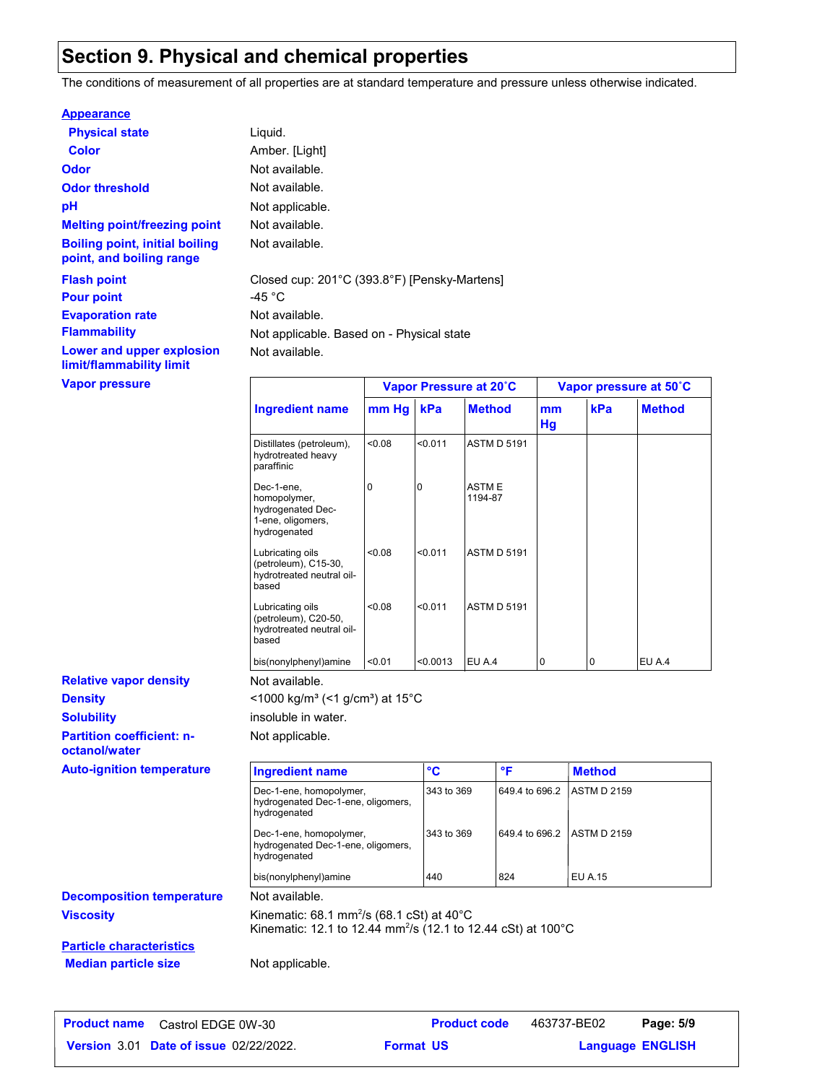### **Section 9. Physical and chemical properties**

The conditions of measurement of all properties are at standard temperature and pressure unless otherwise indicated.

#### **Appearance**

| <b>Physical state</b>                                             | Liquid.                     |
|-------------------------------------------------------------------|-----------------------------|
| Color                                                             | Amber. [Light]              |
| Odor                                                              | Not available.              |
| <b>Odor threshold</b>                                             | Not available.              |
| рH                                                                | Not applicable.             |
| <b>Melting point/freezing point</b>                               | Not available.              |
| <b>Boiling point, initial boiling</b><br>point, and boiling range | Not available.              |
| <b>Flash point</b><br><b>Pour point</b>                           | Closed cup: 201°C<br>-45 °C |
| <b>Evaporation rate</b>                                           | Not available.              |
| <b>Flammability</b>                                               | Not applicable. Ba          |
| Lower and upper explosion<br>limit/flammability limit             | Not available.              |
| <b>Vapor pressure</b>                                             |                             |

available. available. applicable. Based on - Physical state available. ed cup: 201°C (393.8°F) [Pensky-Martens]

|                                                                                      | Vapor Pressure at 20°C |          | Vapor pressure at 50°C  |          |                |               |
|--------------------------------------------------------------------------------------|------------------------|----------|-------------------------|----------|----------------|---------------|
| Ingredient name                                                                      | mm Hg                  | kPa      | <b>Method</b>           | mm<br>Hg | kPa            | <b>Method</b> |
| Distillates (petroleum),<br>hydrotreated heavy<br>paraffinic                         | < 0.08                 | < 0.011  | <b>ASTM D 5191</b>      |          |                |               |
| Dec-1-ene,<br>homopolymer,<br>hydrogenated Dec-<br>1-ene, oligomers,<br>hydrogenated | 0                      | 0        | <b>ASTME</b><br>1194-87 |          |                |               |
| Lubricating oils<br>(petroleum), C15-30,<br>hydrotreated neutral oil-<br>based       | < 0.08                 | < 0.011  | <b>ASTM D 5191</b>      |          |                |               |
| Lubricating oils<br>(petroleum), C20-50,<br>hydrotreated neutral oil-<br>based       | < 0.08                 | < 0.011  | <b>ASTM D 5191</b>      |          |                |               |
| bis(nonylphenyl)amine                                                                | < 0.01                 | < 0.0013 | EU A.4                  | 0        | $\overline{0}$ | <b>EU A.4</b> |

**Partition coefficient: noctanol/water Density Solubility Relative vapor density Auto-ignition temperature** 

<1000 kg/m<sup>3</sup> (<1 g/cm<sup>3</sup>) at 15°C insoluble in water.

Not available.

Not applicable.

| <b>Ingredient name</b>                                                        | °C         | ۰F             | <b>Method</b>       |
|-------------------------------------------------------------------------------|------------|----------------|---------------------|
| Dec-1-ene, homopolymer,<br>hydrogenated Dec-1-ene, oligomers,<br>hydrogenated | 343 to 369 | 649.4 to 696.2 | <b>LASTM D 2159</b> |
| Dec-1-ene, homopolymer,<br>hydrogenated Dec-1-ene, oligomers,<br>hydrogenated | 343 to 369 | 649.4 to 696.2 | <b>LASTM D 2159</b> |
| bis(nonylphenyl)amine                                                         | 440        | 824            | EU A.15             |

**Decomposition temperature** Not available.

**Viscosity Kinematic: 68.1 mm<sup>2</sup>/s (68.1 cSt) at 40°C** Kinematic: 12.1 to 12.44 mm²/s (12.1 to 12.44 cSt) at 100°C

**Particle characteristics Median particle size** Not applicable.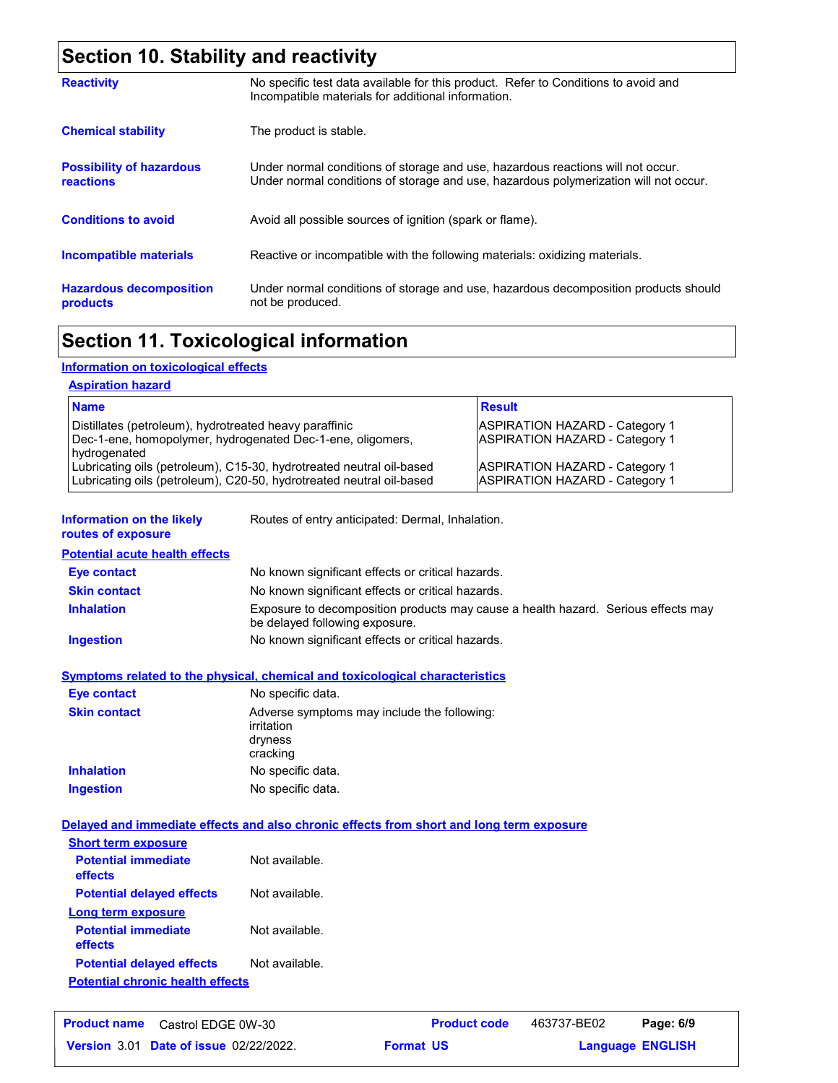### **Section 10. Stability and reactivity**

| <b>Reactivity</b>                                   | No specific test data available for this product. Refer to Conditions to avoid and<br>Incompatible materials for additional information.                                |
|-----------------------------------------------------|-------------------------------------------------------------------------------------------------------------------------------------------------------------------------|
| <b>Chemical stability</b>                           | The product is stable.                                                                                                                                                  |
| <b>Possibility of hazardous</b><br><b>reactions</b> | Under normal conditions of storage and use, hazardous reactions will not occur.<br>Under normal conditions of storage and use, hazardous polymerization will not occur. |
| <b>Conditions to avoid</b>                          | Avoid all possible sources of ignition (spark or flame).                                                                                                                |
| Incompatible materials                              | Reactive or incompatible with the following materials: oxidizing materials.                                                                                             |
| <b>Hazardous decomposition</b><br>products          | Under normal conditions of storage and use, hazardous decomposition products should<br>not be produced.                                                                 |

### **Section 11. Toxicological information**

### **Information on toxicological effects**

#### **Aspiration hazard**

| <b>Name</b>                                                                                                                                  | <b>Result</b>                                                           |
|----------------------------------------------------------------------------------------------------------------------------------------------|-------------------------------------------------------------------------|
| Distillates (petroleum), hydrotreated heavy paraffinic<br>Dec-1-ene, homopolymer, hydrogenated Dec-1-ene, oligomers,<br>hydrogenated         | <b>ASPIRATION HAZARD - Category 1</b><br>ASPIRATION HAZARD - Category 1 |
| Lubricating oils (petroleum), C15-30, hydrotreated neutral oil-based<br>Lubricating oils (petroleum), C20-50, hydrotreated neutral oil-based | ASPIRATION HAZARD - Category 1<br>ASPIRATION HAZARD - Category 1        |

**Information on the likely routes of exposure**

Routes of entry anticipated: Dermal, Inhalation.

**Potential acute health effects**

| Eye contact         | No known significant effects or critical hazards.                                                                   |
|---------------------|---------------------------------------------------------------------------------------------------------------------|
| <b>Skin contact</b> | No known significant effects or critical hazards.                                                                   |
| <b>Inhalation</b>   | Exposure to decomposition products may cause a health hazard. Serious effects may<br>be delayed following exposure. |
| <b>Ingestion</b>    | No known significant effects or critical hazards.                                                                   |

#### **Symptoms related to the physical, chemical and toxicological characteristics**

| <b>Eye contact</b>  | No specific data.                                                                |
|---------------------|----------------------------------------------------------------------------------|
| <b>Skin contact</b> | Adverse symptoms may include the following:<br>irritation<br>dryness<br>cracking |
| <b>Inhalation</b>   | No specific data.                                                                |
| <b>Ingestion</b>    | No specific data.                                                                |

#### **Delayed and immediate effects and also chronic effects from short and long term exposure**

| <b>Short term exposure</b>              |                |
|-----------------------------------------|----------------|
| <b>Potential immediate</b><br>effects   | Not available. |
| <b>Potential delayed effects</b>        | Not available. |
| Long term exposure                      |                |
| <b>Potential immediate</b><br>effects   | Not available. |
| <b>Potential delayed effects</b>        | Not available. |
| <b>Potential chronic health effects</b> |                |

| <b>Product name</b> Castrol EDGE 0W-30        |                  | <b>Product code</b> | 463737-BE02             | Page: 6/9 |  |
|-----------------------------------------------|------------------|---------------------|-------------------------|-----------|--|
| <b>Version 3.01 Date of issue 02/22/2022.</b> | <b>Format US</b> |                     | <b>Language ENGLISH</b> |           |  |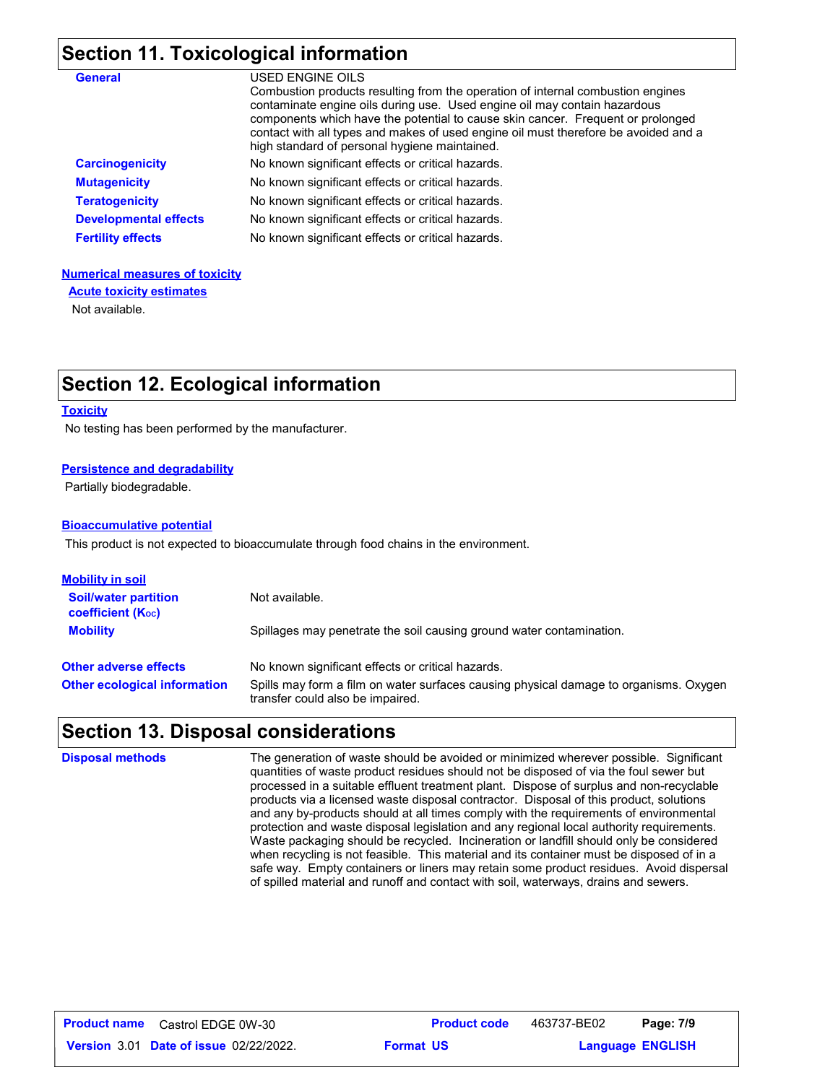### **Section 11. Toxicological information**

| <b>General</b>               | USED ENGINE OILS<br>Combustion products resulting from the operation of internal combustion engines<br>contaminate engine oils during use. Used engine oil may contain hazardous<br>components which have the potential to cause skin cancer. Frequent or prolonged<br>contact with all types and makes of used engine oil must therefore be avoided and a<br>high standard of personal hygiene maintained. |
|------------------------------|-------------------------------------------------------------------------------------------------------------------------------------------------------------------------------------------------------------------------------------------------------------------------------------------------------------------------------------------------------------------------------------------------------------|
| <b>Carcinogenicity</b>       | No known significant effects or critical hazards.                                                                                                                                                                                                                                                                                                                                                           |
| <b>Mutagenicity</b>          | No known significant effects or critical hazards.                                                                                                                                                                                                                                                                                                                                                           |
| <b>Teratogenicity</b>        | No known significant effects or critical hazards.                                                                                                                                                                                                                                                                                                                                                           |
| <b>Developmental effects</b> | No known significant effects or critical hazards.                                                                                                                                                                                                                                                                                                                                                           |
| <b>Fertility effects</b>     | No known significant effects or critical hazards.                                                                                                                                                                                                                                                                                                                                                           |

#### **Numerical measures of toxicity**

**Acute toxicity estimates**

Not available.

### **Section 12. Ecological information**

#### **Toxicity**

No testing has been performed by the manufacturer.

#### **Persistence and degradability**

Partially biodegradable.

#### **Bioaccumulative potential**

This product is not expected to bioaccumulate through food chains in the environment.

| <u>Mobility in soil</u>                                 |                                                                                                                           |
|---------------------------------------------------------|---------------------------------------------------------------------------------------------------------------------------|
| <b>Soil/water partition</b><br><b>coefficient (Koc)</b> | Not available.                                                                                                            |
| <b>Mobility</b>                                         | Spillages may penetrate the soil causing ground water contamination.                                                      |
| <b>Other adverse effects</b>                            | No known significant effects or critical hazards.                                                                         |
| <b>Other ecological information</b>                     | Spills may form a film on water surfaces causing physical damage to organisms. Oxygen<br>transfer could also be impaired. |

### **Section 13. Disposal considerations**

| <b>Disposal methods</b> | The generation of waste should be avoided or minimized wherever possible. Significant<br>quantities of waste product residues should not be disposed of via the foul sewer but<br>processed in a suitable effluent treatment plant. Dispose of surplus and non-recyclable<br>products via a licensed waste disposal contractor. Disposal of this product, solutions<br>and any by-products should at all times comply with the requirements of environmental<br>protection and waste disposal legislation and any regional local authority requirements.<br>Waste packaging should be recycled. Incineration or landfill should only be considered<br>when recycling is not feasible. This material and its container must be disposed of in a<br>safe way. Empty containers or liners may retain some product residues. Avoid dispersal<br>of spilled material and runoff and contact with soil, waterways, drains and sewers. |
|-------------------------|---------------------------------------------------------------------------------------------------------------------------------------------------------------------------------------------------------------------------------------------------------------------------------------------------------------------------------------------------------------------------------------------------------------------------------------------------------------------------------------------------------------------------------------------------------------------------------------------------------------------------------------------------------------------------------------------------------------------------------------------------------------------------------------------------------------------------------------------------------------------------------------------------------------------------------|
|                         |                                                                                                                                                                                                                                                                                                                                                                                                                                                                                                                                                                                                                                                                                                                                                                                                                                                                                                                                 |

**Date of issue** 02/22/2022. **Format US State State State State State State State State State State State State State State State State State State State State State State State State State State State State State State Sta Product name** Castrol EDGE 0W-30 **Product code** 463737-BE02 **Page: 7/9 Language ENGLISH** 463737-BE02 **Format US**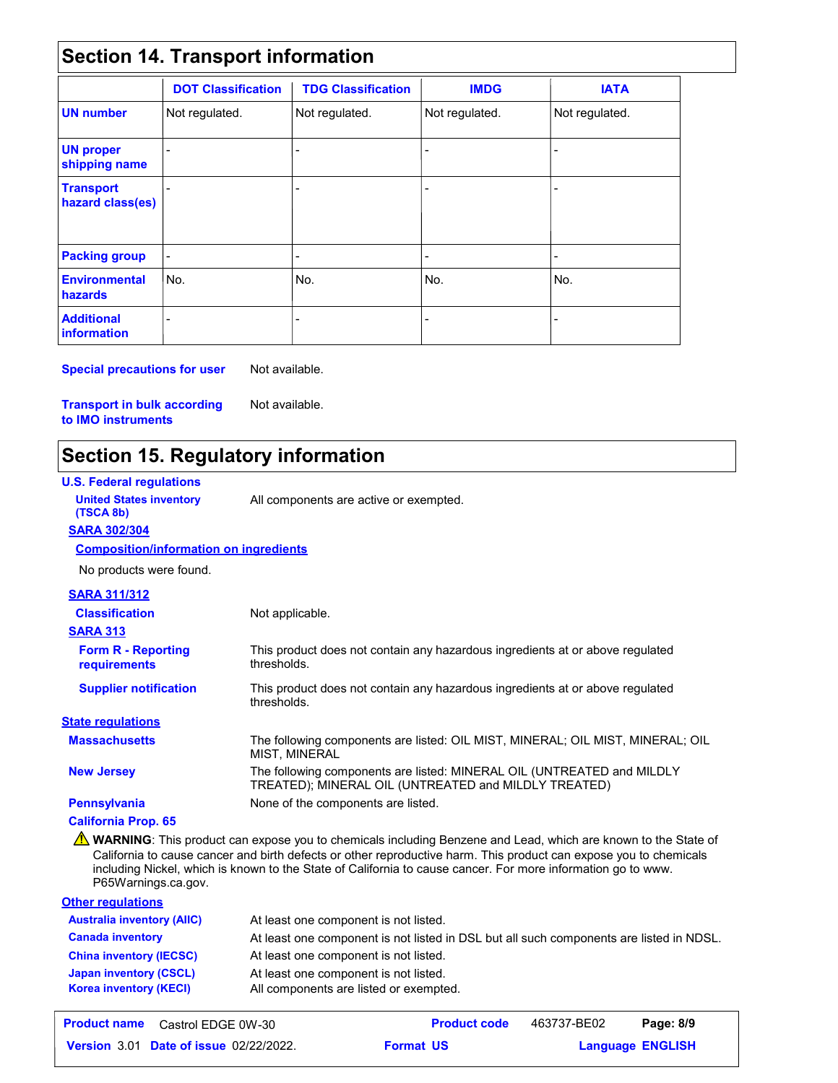### **Section 14. Transport information**

|                                         | <b>DOT Classification</b> | <b>TDG Classification</b> | <b>IMDG</b>                                                                                                                                                                                   | <b>IATA</b>              |
|-----------------------------------------|---------------------------|---------------------------|-----------------------------------------------------------------------------------------------------------------------------------------------------------------------------------------------|--------------------------|
| <b>UN</b> number                        | Not regulated.            | Not regulated.            | Not regulated.                                                                                                                                                                                | Not regulated.           |
| <b>UN proper</b><br>shipping name       |                           |                           |                                                                                                                                                                                               |                          |
| <b>Transport</b><br>hazard class(es)    |                           |                           | ٠                                                                                                                                                                                             |                          |
| <b>Packing group</b>                    | $\blacksquare$            |                           | $\hskip1.6pt\hskip1.6pt\hskip1.6pt\hskip1.6pt\hskip1.6pt\hskip1.6pt\hskip1.6pt\hskip1.6pt\hskip1.6pt\hskip1.6pt\hskip1.6pt\hskip1.6pt\hskip1.6pt\hskip1.6pt\hskip1.6pt\hskip1.6pt\hskip1.6pt$ | $\overline{\phantom{0}}$ |
| <b>Environmental</b><br>hazards         | No.                       | No.                       | No.                                                                                                                                                                                           | lNo.                     |
| <b>Additional</b><br><b>information</b> |                           |                           |                                                                                                                                                                                               |                          |

**Special precautions for user** Not available.

Not available.

**Transport in bulk according to IMO instruments**

## **Section 15. Regulatory information**

#### **U.S. Federal regulations** The following components are listed: OIL MIST, MINERAL; OIL MIST, MINERAL; OIL MIST, MINERAL **Massachusetts SARA 313** This product does not contain any hazardous ingredients at or above regulated thresholds. This product does not contain any hazardous ingredients at or above regulated thresholds. **Form R - Reporting requirements Supplier notification New Jersey** The following components are listed: MINERAL OIL (UNTREATED and MILDLY TREATED); MINERAL OIL (UNTREATED and MILDLY TREATED) **Pennsylvania** None of the components are listed. **State regulations SARA 302/304** No products were found. **Composition/information on ingredients SARA 311/312 Classification Other regulations United States inventory** All components are active or exempted. **(TSCA 8b)** At least one component is not listed. **Australia inventory (AIIC) California Prop. 65** Not applicable. **A** WARNING: This product can expose you to chemicals including Benzene and Lead, which are known to the State of California to cause cancer and birth defects or other reproductive harm. This product can expose you to chemicals including Nickel, which is known to the State of California to cause cancer. For more information go to www. P65Warnings.ca.gov.

|                                | The ready of the component to mot flotoa.                                               |
|--------------------------------|-----------------------------------------------------------------------------------------|
| <b>Canada inventory</b>        | At least one component is not listed in DSL but all such components are listed in NDSL. |
| <b>China inventory (IECSC)</b> | At least one component is not listed.                                                   |
| Japan inventory (CSCL)         | At least one component is not listed.                                                   |
| <b>Korea inventory (KECI)</b>  | All components are listed or exempted.                                                  |
|                                |                                                                                         |

| <b>Product name</b> Castrol EDGE 0W-30        | <b>Product code</b> | 463737-BE02             | Page: 8/9 |
|-----------------------------------------------|---------------------|-------------------------|-----------|
| <b>Version 3.01 Date of issue 02/22/2022.</b> | <b>Format US</b>    | <b>Language ENGLISH</b> |           |